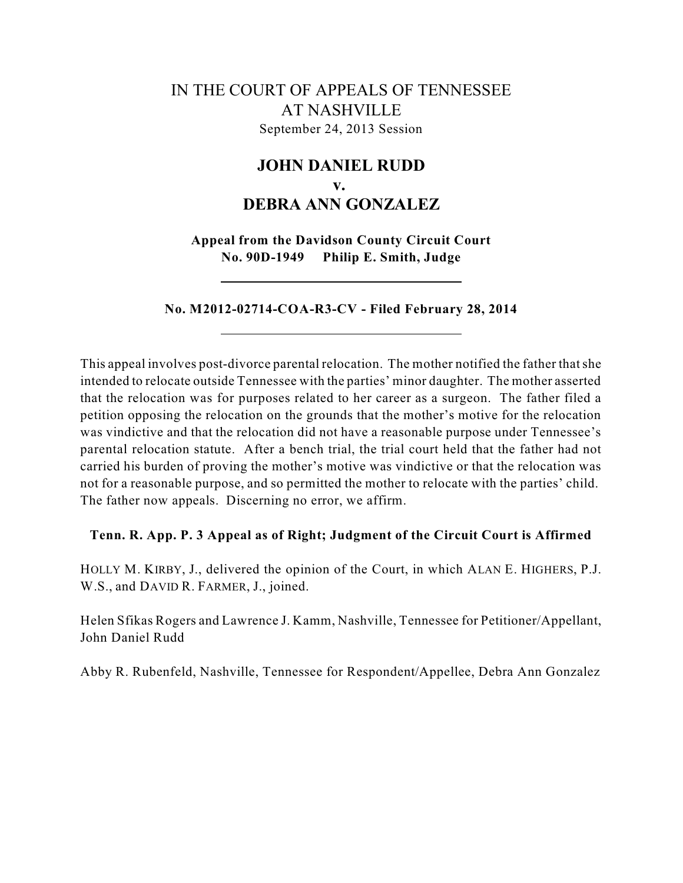# IN THE COURT OF APPEALS OF TENNESSEE AT NASHVILLE September 24, 2013 Session

# **JOHN DANIEL RUDD v. DEBRA ANN GONZALEZ**

**Appeal from the Davidson County Circuit Court No. 90D-1949 Philip E. Smith, Judge**

**No. M2012-02714-COA-R3-CV - Filed February 28, 2014**

This appeal involves post-divorce parental relocation. The mother notified the father thatshe intended to relocate outside Tennessee with the parties' minor daughter. The mother asserted that the relocation was for purposes related to her career as a surgeon. The father filed a petition opposing the relocation on the grounds that the mother's motive for the relocation was vindictive and that the relocation did not have a reasonable purpose under Tennessee's parental relocation statute. After a bench trial, the trial court held that the father had not carried his burden of proving the mother's motive was vindictive or that the relocation was not for a reasonable purpose, and so permitted the mother to relocate with the parties' child. The father now appeals. Discerning no error, we affirm.

## **Tenn. R. App. P. 3 Appeal as of Right; Judgment of the Circuit Court is Affirmed**

HOLLY M. KIRBY, J., delivered the opinion of the Court, in which ALAN E. HIGHERS, P.J. W.S., and DAVID R. FARMER, J., joined.

Helen Sfikas Rogers and Lawrence J. Kamm, Nashville, Tennessee for Petitioner/Appellant, John Daniel Rudd

Abby R. Rubenfeld, Nashville, Tennessee for Respondent/Appellee, Debra Ann Gonzalez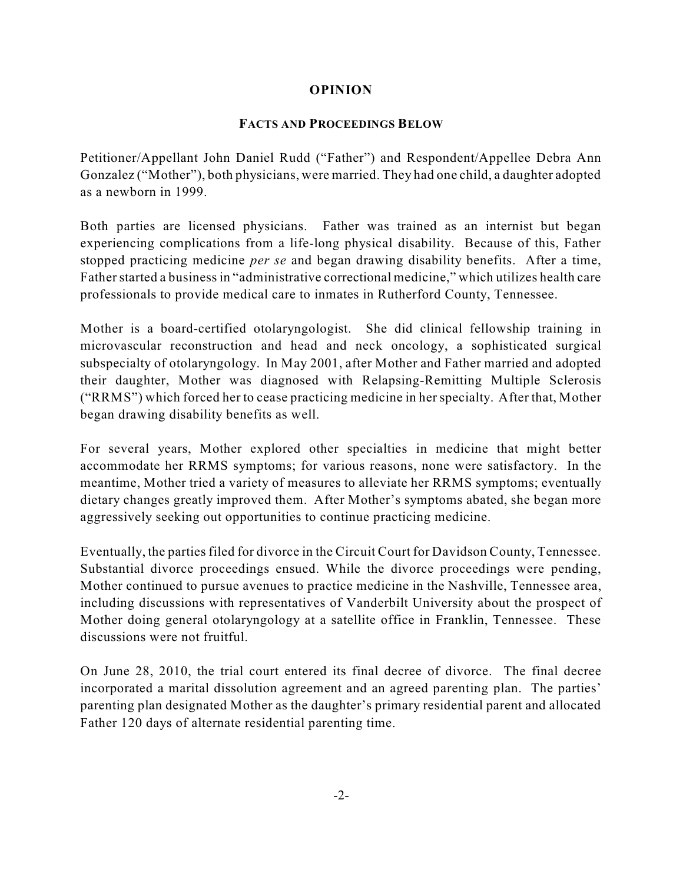# **OPINION**

# **FACTS AND PROCEEDINGS BELOW**

Petitioner/Appellant John Daniel Rudd ("Father") and Respondent/Appellee Debra Ann Gonzalez ("Mother"), both physicians, were married. They had one child, a daughter adopted as a newborn in 1999.

Both parties are licensed physicians. Father was trained as an internist but began experiencing complications from a life-long physical disability. Because of this, Father stopped practicing medicine *per se* and began drawing disability benefits. After a time, Father started a business in "administrative correctional medicine," which utilizes health care professionals to provide medical care to inmates in Rutherford County, Tennessee.

Mother is a board-certified otolaryngologist. She did clinical fellowship training in microvascular reconstruction and head and neck oncology, a sophisticated surgical subspecialty of otolaryngology. In May 2001, after Mother and Father married and adopted their daughter, Mother was diagnosed with Relapsing-Remitting Multiple Sclerosis ("RRMS") which forced her to cease practicing medicine in her specialty. After that, Mother began drawing disability benefits as well.

For several years, Mother explored other specialties in medicine that might better accommodate her RRMS symptoms; for various reasons, none were satisfactory. In the meantime, Mother tried a variety of measures to alleviate her RRMS symptoms; eventually dietary changes greatly improved them. After Mother's symptoms abated, she began more aggressively seeking out opportunities to continue practicing medicine.

Eventually, the parties filed for divorce in the Circuit Court for Davidson County, Tennessee. Substantial divorce proceedings ensued. While the divorce proceedings were pending, Mother continued to pursue avenues to practice medicine in the Nashville, Tennessee area, including discussions with representatives of Vanderbilt University about the prospect of Mother doing general otolaryngology at a satellite office in Franklin, Tennessee. These discussions were not fruitful.

On June 28, 2010, the trial court entered its final decree of divorce. The final decree incorporated a marital dissolution agreement and an agreed parenting plan. The parties' parenting plan designated Mother as the daughter's primary residential parent and allocated Father 120 days of alternate residential parenting time.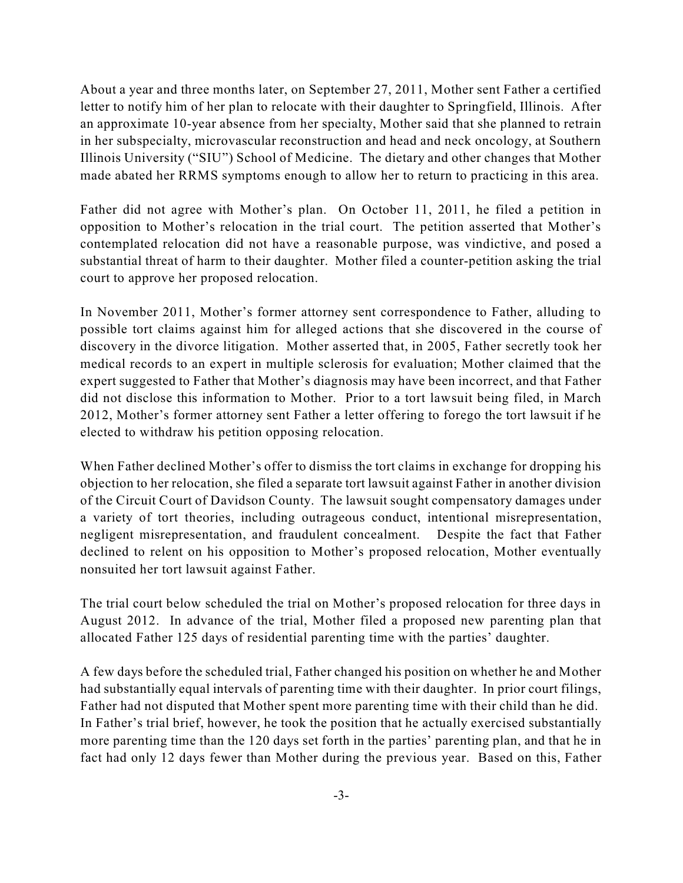About a year and three months later, on September 27, 2011, Mother sent Father a certified letter to notify him of her plan to relocate with their daughter to Springfield, Illinois. After an approximate 10-year absence from her specialty, Mother said that she planned to retrain in her subspecialty, microvascular reconstruction and head and neck oncology, at Southern Illinois University ("SIU") School of Medicine. The dietary and other changes that Mother made abated her RRMS symptoms enough to allow her to return to practicing in this area.

Father did not agree with Mother's plan. On October 11, 2011, he filed a petition in opposition to Mother's relocation in the trial court. The petition asserted that Mother's contemplated relocation did not have a reasonable purpose, was vindictive, and posed a substantial threat of harm to their daughter. Mother filed a counter-petition asking the trial court to approve her proposed relocation.

In November 2011, Mother's former attorney sent correspondence to Father, alluding to possible tort claims against him for alleged actions that she discovered in the course of discovery in the divorce litigation. Mother asserted that, in 2005, Father secretly took her medical records to an expert in multiple sclerosis for evaluation; Mother claimed that the expert suggested to Father that Mother's diagnosis may have been incorrect, and that Father did not disclose this information to Mother. Prior to a tort lawsuit being filed, in March 2012, Mother's former attorney sent Father a letter offering to forego the tort lawsuit if he elected to withdraw his petition opposing relocation.

When Father declined Mother's offer to dismiss the tort claims in exchange for dropping his objection to her relocation, she filed a separate tort lawsuit against Father in another division of the Circuit Court of Davidson County. The lawsuit sought compensatory damages under a variety of tort theories, including outrageous conduct, intentional misrepresentation, negligent misrepresentation, and fraudulent concealment. Despite the fact that Father declined to relent on his opposition to Mother's proposed relocation, Mother eventually nonsuited her tort lawsuit against Father.

The trial court below scheduled the trial on Mother's proposed relocation for three days in August 2012. In advance of the trial, Mother filed a proposed new parenting plan that allocated Father 125 days of residential parenting time with the parties' daughter.

A few days before the scheduled trial, Father changed his position on whether he and Mother had substantially equal intervals of parenting time with their daughter. In prior court filings, Father had not disputed that Mother spent more parenting time with their child than he did. In Father's trial brief, however, he took the position that he actually exercised substantially more parenting time than the 120 days set forth in the parties' parenting plan, and that he in fact had only 12 days fewer than Mother during the previous year. Based on this, Father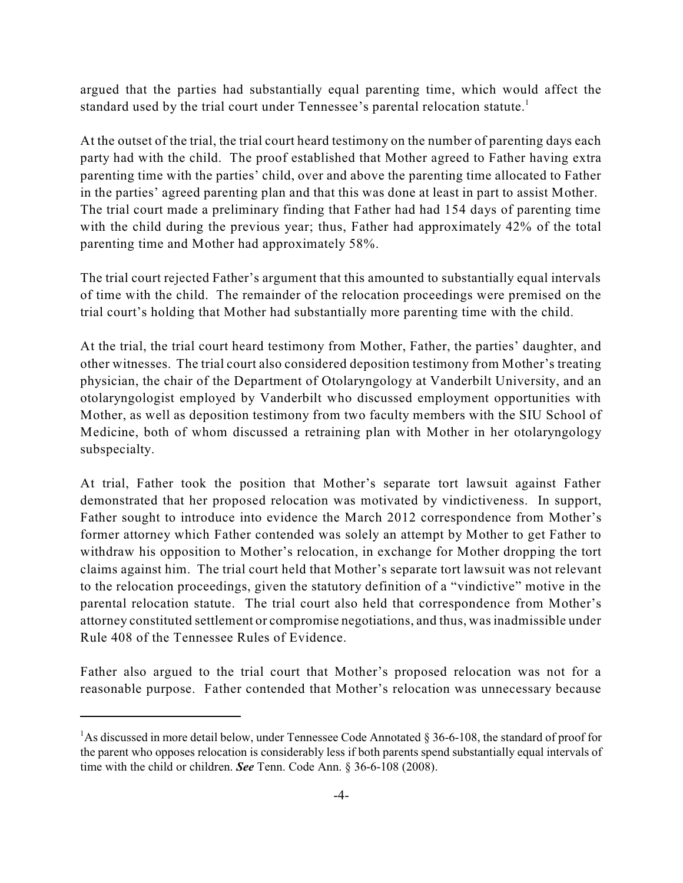argued that the parties had substantially equal parenting time, which would affect the standard used by the trial court under Tennessee's parental relocation statute.<sup>1</sup>

At the outset of the trial, the trial court heard testimony on the number of parenting days each party had with the child. The proof established that Mother agreed to Father having extra parenting time with the parties' child, over and above the parenting time allocated to Father in the parties' agreed parenting plan and that this was done at least in part to assist Mother. The trial court made a preliminary finding that Father had had 154 days of parenting time with the child during the previous year; thus, Father had approximately 42% of the total parenting time and Mother had approximately 58%.

The trial court rejected Father's argument that this amounted to substantially equal intervals of time with the child. The remainder of the relocation proceedings were premised on the trial court's holding that Mother had substantially more parenting time with the child.

At the trial, the trial court heard testimony from Mother, Father, the parties' daughter, and other witnesses. The trial court also considered deposition testimony from Mother's treating physician, the chair of the Department of Otolaryngology at Vanderbilt University, and an otolaryngologist employed by Vanderbilt who discussed employment opportunities with Mother, as well as deposition testimony from two faculty members with the SIU School of Medicine, both of whom discussed a retraining plan with Mother in her otolaryngology subspecialty.

At trial, Father took the position that Mother's separate tort lawsuit against Father demonstrated that her proposed relocation was motivated by vindictiveness. In support, Father sought to introduce into evidence the March 2012 correspondence from Mother's former attorney which Father contended was solely an attempt by Mother to get Father to withdraw his opposition to Mother's relocation, in exchange for Mother dropping the tort claims against him. The trial court held that Mother's separate tort lawsuit was not relevant to the relocation proceedings, given the statutory definition of a "vindictive" motive in the parental relocation statute. The trial court also held that correspondence from Mother's attorney constituted settlement or compromise negotiations, and thus, wasinadmissible under Rule 408 of the Tennessee Rules of Evidence.

Father also argued to the trial court that Mother's proposed relocation was not for a reasonable purpose. Father contended that Mother's relocation was unnecessary because

<sup>&</sup>lt;sup>1</sup>As discussed in more detail below, under Tennessee Code Annotated § 36-6-108, the standard of proof for the parent who opposes relocation is considerably less if both parents spend substantially equal intervals of time with the child or children. *See* Tenn. Code Ann. § 36-6-108 (2008).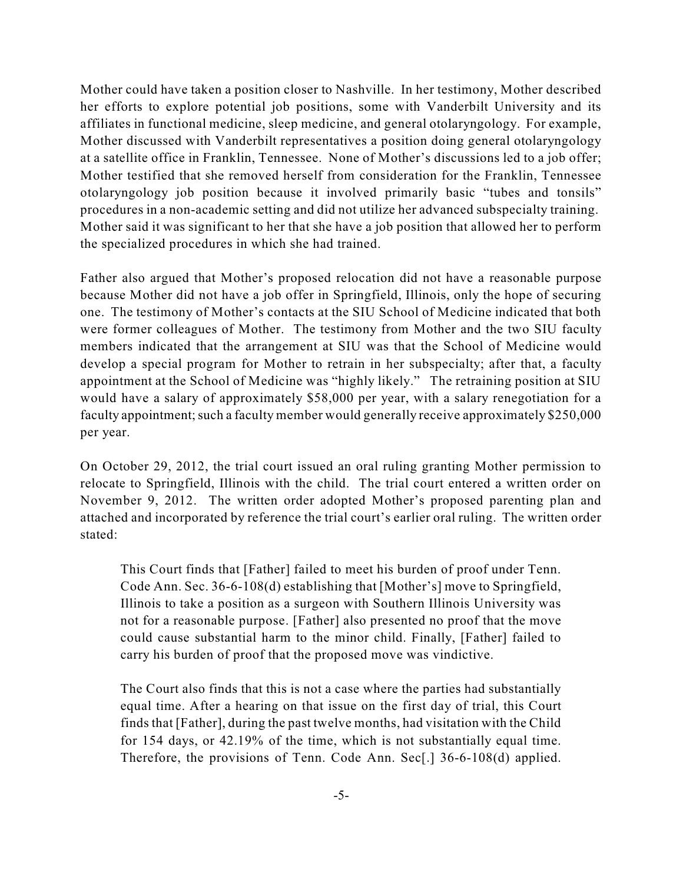Mother could have taken a position closer to Nashville. In her testimony, Mother described her efforts to explore potential job positions, some with Vanderbilt University and its affiliates in functional medicine, sleep medicine, and general otolaryngology. For example, Mother discussed with Vanderbilt representatives a position doing general otolaryngology at a satellite office in Franklin, Tennessee. None of Mother's discussions led to a job offer; Mother testified that she removed herself from consideration for the Franklin, Tennessee otolaryngology job position because it involved primarily basic "tubes and tonsils" procedures in a non-academic setting and did not utilize her advanced subspecialty training. Mother said it was significant to her that she have a job position that allowed her to perform the specialized procedures in which she had trained.

Father also argued that Mother's proposed relocation did not have a reasonable purpose because Mother did not have a job offer in Springfield, Illinois, only the hope of securing one. The testimony of Mother's contacts at the SIU School of Medicine indicated that both were former colleagues of Mother. The testimony from Mother and the two SIU faculty members indicated that the arrangement at SIU was that the School of Medicine would develop a special program for Mother to retrain in her subspecialty; after that, a faculty appointment at the School of Medicine was "highly likely." The retraining position at SIU would have a salary of approximately \$58,000 per year, with a salary renegotiation for a faculty appointment; such a faculty member would generally receive approximately \$250,000 per year.

On October 29, 2012, the trial court issued an oral ruling granting Mother permission to relocate to Springfield, Illinois with the child. The trial court entered a written order on November 9, 2012. The written order adopted Mother's proposed parenting plan and attached and incorporated by reference the trial court's earlier oral ruling. The written order stated:

This Court finds that [Father] failed to meet his burden of proof under Tenn. Code Ann. Sec. 36-6-108(d) establishing that [Mother's] move to Springfield, Illinois to take a position as a surgeon with Southern Illinois University was not for a reasonable purpose. [Father] also presented no proof that the move could cause substantial harm to the minor child. Finally, [Father] failed to carry his burden of proof that the proposed move was vindictive.

The Court also finds that this is not a case where the parties had substantially equal time. After a hearing on that issue on the first day of trial, this Court finds that [Father], during the past twelve months, had visitation with the Child for 154 days, or 42.19% of the time, which is not substantially equal time. Therefore, the provisions of Tenn. Code Ann. Sec[.] 36-6-108(d) applied.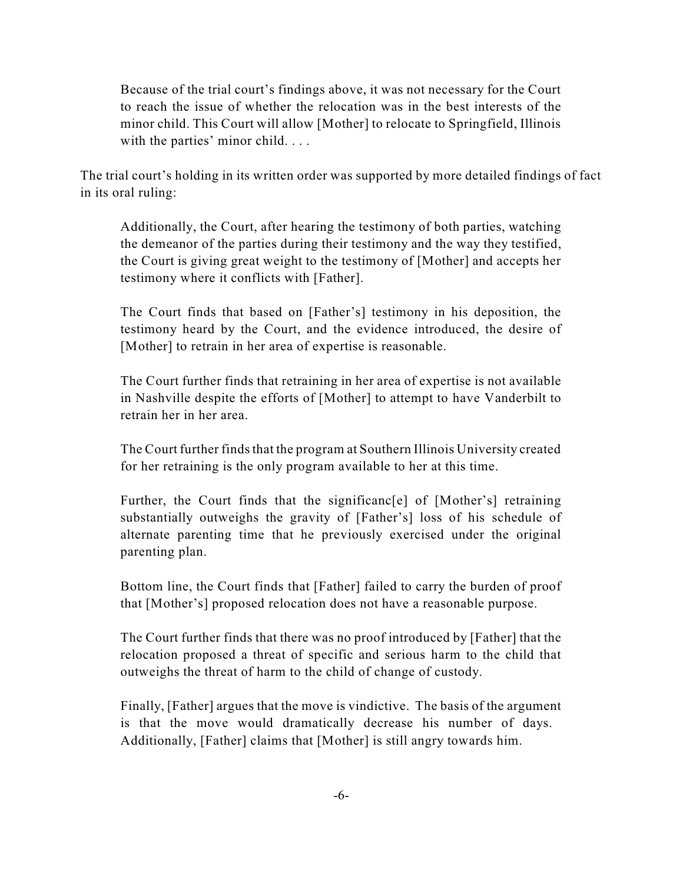Because of the trial court's findings above, it was not necessary for the Court to reach the issue of whether the relocation was in the best interests of the minor child. This Court will allow [Mother] to relocate to Springfield, Illinois with the parties' minor child. . . .

The trial court's holding in its written order was supported by more detailed findings of fact in its oral ruling:

Additionally, the Court, after hearing the testimony of both parties, watching the demeanor of the parties during their testimony and the way they testified, the Court is giving great weight to the testimony of [Mother] and accepts her testimony where it conflicts with [Father].

The Court finds that based on [Father's] testimony in his deposition, the testimony heard by the Court, and the evidence introduced, the desire of [Mother] to retrain in her area of expertise is reasonable.

The Court further finds that retraining in her area of expertise is not available in Nashville despite the efforts of [Mother] to attempt to have Vanderbilt to retrain her in her area.

The Court further finds that the program at Southern Illinois University created for her retraining is the only program available to her at this time.

Further, the Court finds that the significance of [Mother's] retraining substantially outweighs the gravity of [Father's] loss of his schedule of alternate parenting time that he previously exercised under the original parenting plan.

Bottom line, the Court finds that [Father] failed to carry the burden of proof that [Mother's] proposed relocation does not have a reasonable purpose.

The Court further finds that there was no proof introduced by [Father] that the relocation proposed a threat of specific and serious harm to the child that outweighs the threat of harm to the child of change of custody.

Finally, [Father] argues that the move is vindictive. The basis of the argument is that the move would dramatically decrease his number of days. Additionally, [Father] claims that [Mother] is still angry towards him.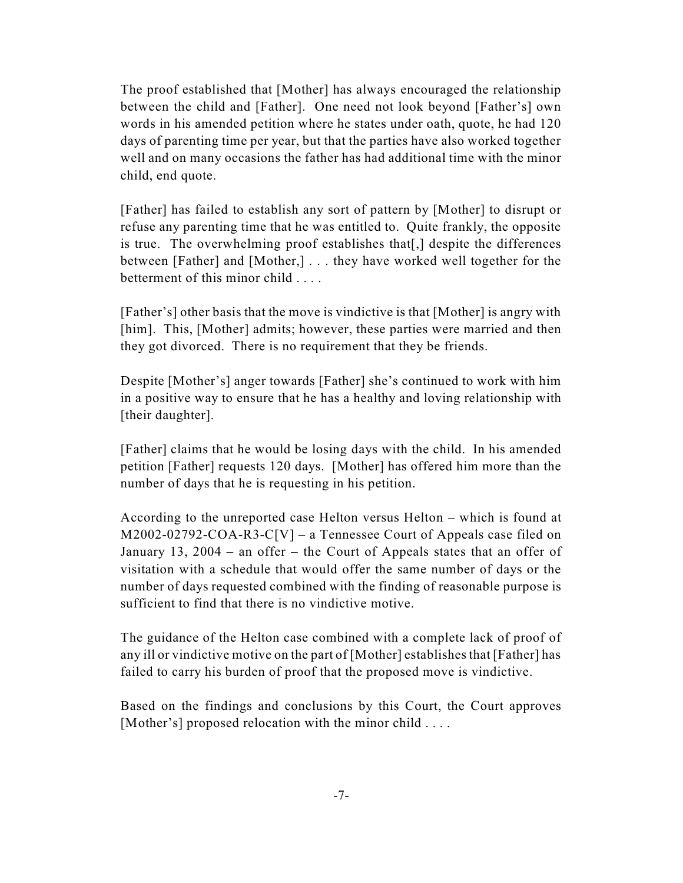The proof established that [Mother] has always encouraged the relationship between the child and [Father]. One need not look beyond [Father's] own words in his amended petition where he states under oath, quote, he had 120 days of parenting time per year, but that the parties have also worked together well and on many occasions the father has had additional time with the minor child, end quote.

[Father] has failed to establish any sort of pattern by [Mother] to disrupt or refuse any parenting time that he was entitled to. Quite frankly, the opposite is true. The overwhelming proof establishes that[,] despite the differences between [Father] and [Mother,] . . . they have worked well together for the betterment of this minor child . . . .

[Father's] other basis that the move is vindictive is that [Mother] is angry with [him]. This, [Mother] admits; however, these parties were married and then they got divorced. There is no requirement that they be friends.

Despite [Mother's] anger towards [Father] she's continued to work with him in a positive way to ensure that he has a healthy and loving relationship with [their daughter].

[Father] claims that he would be losing days with the child. In his amended petition [Father] requests 120 days. [Mother] has offered him more than the number of days that he is requesting in his petition.

According to the unreported case Helton versus Helton – which is found at M2002-02792-COA-R3-C[V] – a Tennessee Court of Appeals case filed on January 13, 2004 – an offer – the Court of Appeals states that an offer of visitation with a schedule that would offer the same number of days or the number of days requested combined with the finding of reasonable purpose is sufficient to find that there is no vindictive motive.

The guidance of the Helton case combined with a complete lack of proof of any ill or vindictive motive on the part of [Mother] establishes that [Father] has failed to carry his burden of proof that the proposed move is vindictive.

Based on the findings and conclusions by this Court, the Court approves [Mother's] proposed relocation with the minor child ....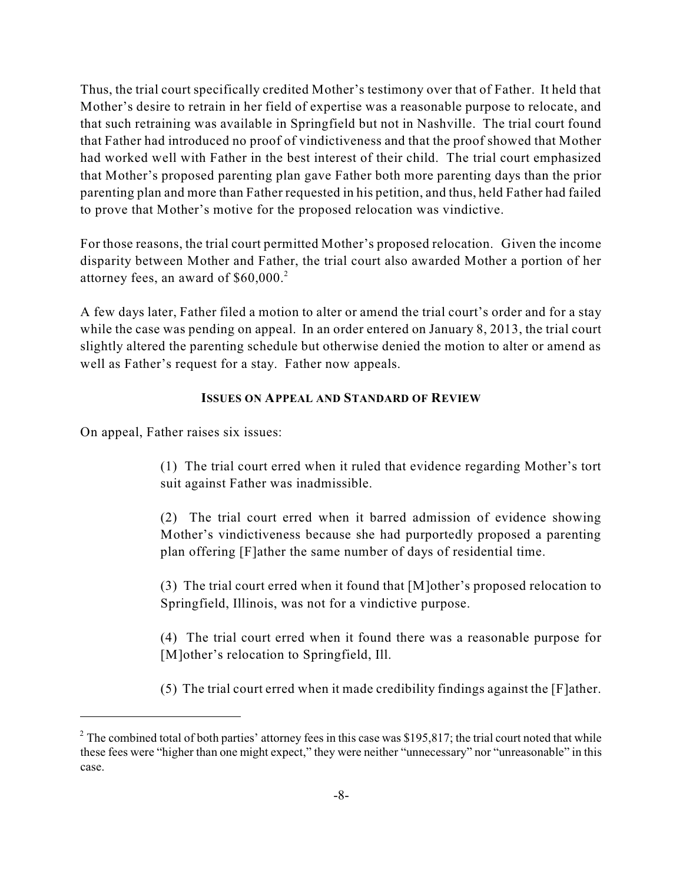Thus, the trial court specifically credited Mother's testimony over that of Father. It held that Mother's desire to retrain in her field of expertise was a reasonable purpose to relocate, and that such retraining was available in Springfield but not in Nashville. The trial court found that Father had introduced no proof of vindictiveness and that the proof showed that Mother had worked well with Father in the best interest of their child. The trial court emphasized that Mother's proposed parenting plan gave Father both more parenting days than the prior parenting plan and more than Father requested in his petition, and thus, held Father had failed to prove that Mother's motive for the proposed relocation was vindictive.

For those reasons, the trial court permitted Mother's proposed relocation. Given the income disparity between Mother and Father, the trial court also awarded Mother a portion of her attorney fees, an award of \$60,000. 2

A few days later, Father filed a motion to alter or amend the trial court's order and for a stay while the case was pending on appeal. In an order entered on January 8, 2013, the trial court slightly altered the parenting schedule but otherwise denied the motion to alter or amend as well as Father's request for a stay. Father now appeals.

## **ISSUES ON APPEAL AND STANDARD OF REVIEW**

On appeal, Father raises six issues:

(1) The trial court erred when it ruled that evidence regarding Mother's tort suit against Father was inadmissible.

(2) The trial court erred when it barred admission of evidence showing Mother's vindictiveness because she had purportedly proposed a parenting plan offering [F]ather the same number of days of residential time.

(3) The trial court erred when it found that [M]other's proposed relocation to Springfield, Illinois, was not for a vindictive purpose.

(4) The trial court erred when it found there was a reasonable purpose for [M]other's relocation to Springfield, Ill.

(5) The trial court erred when it made credibility findings against the [F]ather.

<sup>&</sup>lt;sup>2</sup> The combined total of both parties' attorney fees in this case was \$195,817; the trial court noted that while these fees were "higher than one might expect," they were neither "unnecessary" nor "unreasonable" in this case.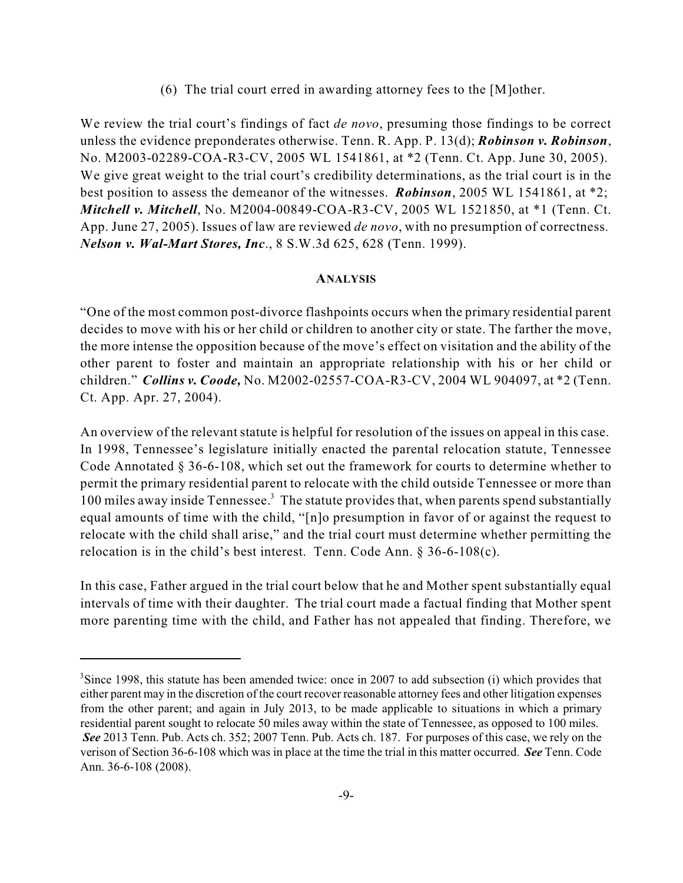(6) The trial court erred in awarding attorney fees to the [M]other.

We review the trial court's findings of fact *de novo*, presuming those findings to be correct unless the evidence preponderates otherwise. Tenn. R. App. P. 13(d); *Robinson v. Robinson*, No. M2003-02289-COA-R3-CV, 2005 WL 1541861, at \*2 (Tenn. Ct. App. June 30, 2005). We give great weight to the trial court's credibility determinations, as the trial court is in the best position to assess the demeanor of the witnesses. *Robinson*, 2005 WL 1541861, at \*2; *Mitchell v. Mitchell*, No. M2004-00849-COA-R3-CV, 2005 WL 1521850, at \*1 (Tenn. Ct. App. June 27, 2005). Issues of law are reviewed *de novo*, with no presumption of correctness. *Nelson v. Wal-Mart Stores, Inc*., 8 S.W.3d 625, 628 (Tenn. 1999).

#### **ANALYSIS**

"One of the most common post-divorce flashpoints occurs when the primary residential parent decides to move with his or her child or children to another city or state. The farther the move, the more intense the opposition because of the move's effect on visitation and the ability of the other parent to foster and maintain an appropriate relationship with his or her child or children." *Collins v. Coode,* No. M2002-02557-COA-R3-CV, 2004 WL 904097, at \*2 (Tenn. Ct. App. Apr. 27, 2004).

An overview of the relevant statute is helpful for resolution of the issues on appeal in this case. In 1998, Tennessee's legislature initially enacted the parental relocation statute, Tennessee Code Annotated § 36-6-108, which set out the framework for courts to determine whether to permit the primary residential parent to relocate with the child outside Tennessee or more than 100 miles away inside Tennessee.<sup>3</sup> The statute provides that, when parents spend substantially equal amounts of time with the child, "[n]o presumption in favor of or against the request to relocate with the child shall arise," and the trial court must determine whether permitting the relocation is in the child's best interest. Tenn. Code Ann. § 36-6-108(c).

In this case, Father argued in the trial court below that he and Mother spent substantially equal intervals of time with their daughter. The trial court made a factual finding that Mother spent more parenting time with the child, and Father has not appealed that finding. Therefore, we

 ${}^{3}$ Since 1998, this statute has been amended twice: once in 2007 to add subsection (i) which provides that either parent may in the discretion of the court recover reasonable attorney fees and other litigation expenses from the other parent; and again in July 2013, to be made applicable to situations in which a primary residential parent sought to relocate 50 miles away within the state of Tennessee, as opposed to 100 miles. *See* 2013 Tenn. Pub. Acts ch. 352; 2007 Tenn. Pub. Acts ch. 187. For purposes of this case, we rely on the verison of Section 36-6-108 which was in place at the time the trial in this matter occurred. *See* Tenn. Code Ann. 36-6-108 (2008).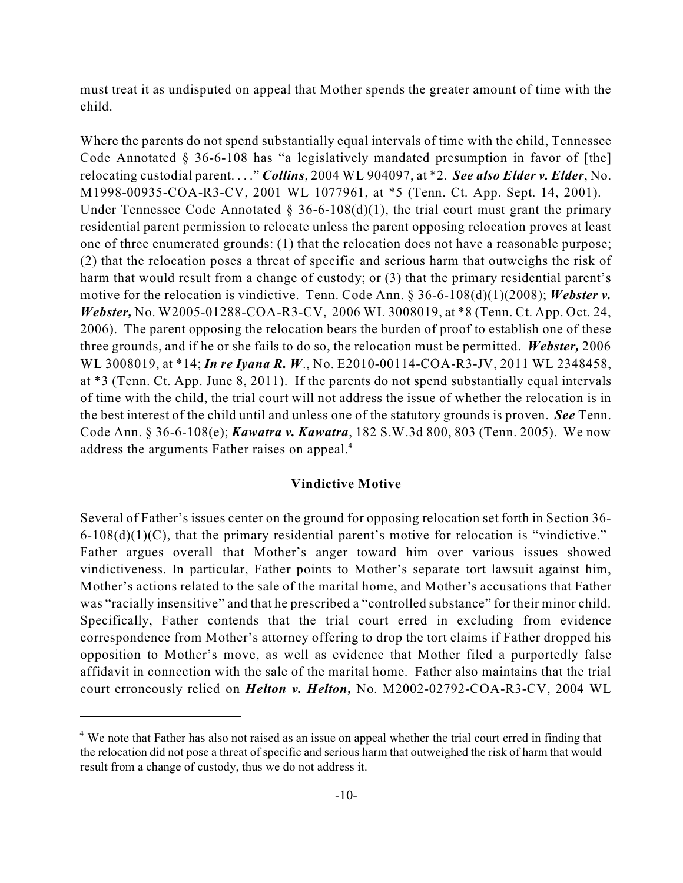must treat it as undisputed on appeal that Mother spends the greater amount of time with the child.

Where the parents do not spend substantially equal intervals of time with the child, Tennessee Code Annotated § 36-6-108 has "a legislatively mandated presumption in favor of [the] relocating custodial parent. . . ." *Collins*, 2004 WL 904097, at \*2. *See also Elder v. Elder*, No. M1998-00935-COA-R3-CV, 2001 WL 1077961, at \*5 (Tenn. Ct. App. Sept. 14, 2001). Under Tennessee Code Annotated  $\S$  36-6-108(d)(1), the trial court must grant the primary residential parent permission to relocate unless the parent opposing relocation proves at least one of three enumerated grounds: (1) that the relocation does not have a reasonable purpose; (2) that the relocation poses a threat of specific and serious harm that outweighs the risk of harm that would result from a change of custody; or (3) that the primary residential parent's motive for the relocation is vindictive. Tenn. Code Ann. § 36-6-108(d)(1)(2008); *Webster v. Webster,* No. W2005-01288-COA-R3-CV, 2006 WL 3008019, at \*8 (Tenn. Ct. App. Oct. 24, 2006). The parent opposing the relocation bears the burden of proof to establish one of these three grounds, and if he or she fails to do so, the relocation must be permitted. *Webster,* 2006 WL 3008019, at \*14; *In re Iyana R. W*., No. E2010-00114-COA-R3-JV, 2011 WL 2348458, at \*3 (Tenn. Ct. App. June 8, 2011). If the parents do not spend substantially equal intervals of time with the child, the trial court will not address the issue of whether the relocation is in the best interest of the child until and unless one of the statutory grounds is proven. *See* Tenn. Code Ann. § 36-6-108(e); *Kawatra v. Kawatra*, 182 S.W.3d 800, 803 (Tenn. 2005). We now address the arguments Father raises on appeal. 4

## **Vindictive Motive**

Several of Father's issues center on the ground for opposing relocation set forth in Section 36-  $6-108(d)(1)(C)$ , that the primary residential parent's motive for relocation is "vindictive." Father argues overall that Mother's anger toward him over various issues showed vindictiveness. In particular, Father points to Mother's separate tort lawsuit against him, Mother's actions related to the sale of the marital home, and Mother's accusations that Father was "racially insensitive" and that he prescribed a "controlled substance" for their minor child. Specifically, Father contends that the trial court erred in excluding from evidence correspondence from Mother's attorney offering to drop the tort claims if Father dropped his opposition to Mother's move, as well as evidence that Mother filed a purportedly false affidavit in connection with the sale of the marital home. Father also maintains that the trial court erroneously relied on *Helton v. Helton,* No. M2002-02792-COA-R3-CV, 2004 WL

<sup>&</sup>lt;sup>4</sup> We note that Father has also not raised as an issue on appeal whether the trial court erred in finding that the relocation did not pose a threat of specific and serious harm that outweighed the risk of harm that would result from a change of custody, thus we do not address it.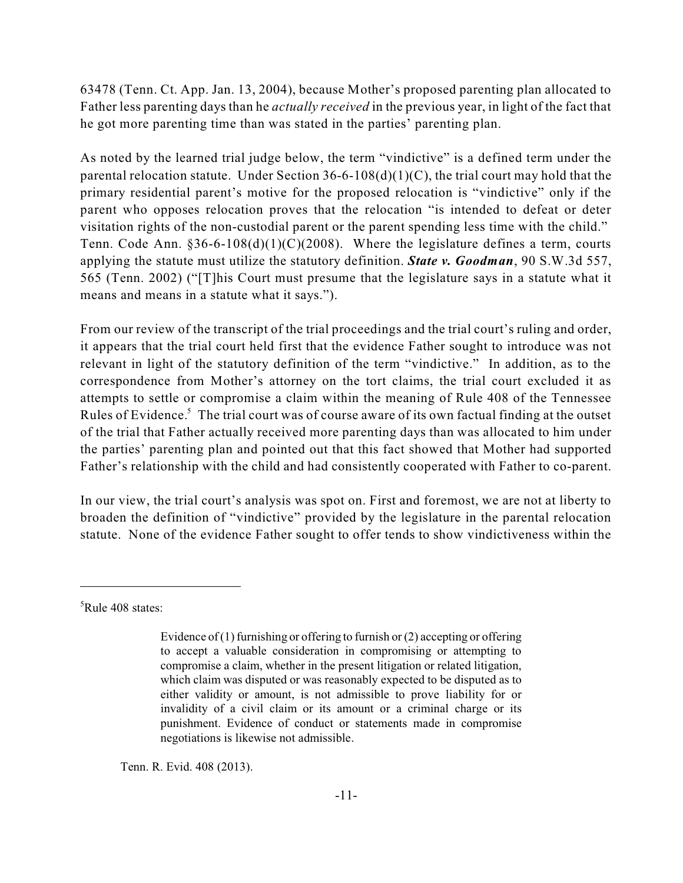63478 (Tenn. Ct. App. Jan. 13, 2004), because Mother's proposed parenting plan allocated to Father less parenting days than he *actually received* in the previous year, in light of the fact that he got more parenting time than was stated in the parties' parenting plan.

As noted by the learned trial judge below, the term "vindictive" is a defined term under the parental relocation statute. Under Section  $36-6-108(d)(1)(C)$ , the trial court may hold that the primary residential parent's motive for the proposed relocation is "vindictive" only if the parent who opposes relocation proves that the relocation "is intended to defeat or deter visitation rights of the non-custodial parent or the parent spending less time with the child." Tenn. Code Ann.  $$36-6-108(d)(1)(C)(2008)$ . Where the legislature defines a term, courts applying the statute must utilize the statutory definition. *State v. Goodman*, 90 S.W.3d 557, 565 (Tenn. 2002) ("[T]his Court must presume that the legislature says in a statute what it means and means in a statute what it says.").

From our review of the transcript of the trial proceedings and the trial court's ruling and order, it appears that the trial court held first that the evidence Father sought to introduce was not relevant in light of the statutory definition of the term "vindictive." In addition, as to the correspondence from Mother's attorney on the tort claims, the trial court excluded it as attempts to settle or compromise a claim within the meaning of Rule 408 of the Tennessee Rules of Evidence.<sup>5</sup> The trial court was of course aware of its own factual finding at the outset of the trial that Father actually received more parenting days than was allocated to him under the parties' parenting plan and pointed out that this fact showed that Mother had supported Father's relationship with the child and had consistently cooperated with Father to co-parent.

In our view, the trial court's analysis was spot on. First and foremost, we are not at liberty to broaden the definition of "vindictive" provided by the legislature in the parental relocation statute. None of the evidence Father sought to offer tends to show vindictiveness within the

Tenn. R. Evid. 408 (2013).

 $5$ Rule 408 states:

Evidence of (1) furnishing or offering to furnish or (2) accepting or offering to accept a valuable consideration in compromising or attempting to compromise a claim, whether in the present litigation or related litigation, which claim was disputed or was reasonably expected to be disputed as to either validity or amount, is not admissible to prove liability for or invalidity of a civil claim or its amount or a criminal charge or its punishment. Evidence of conduct or statements made in compromise negotiations is likewise not admissible.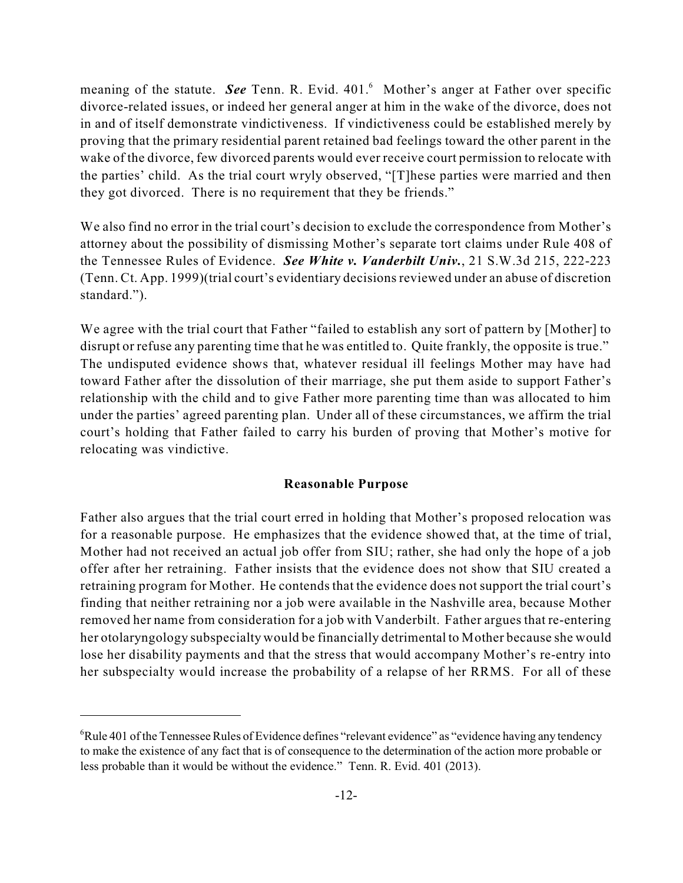meaning of the statute. See Tenn. R. Evid. 401.<sup>6</sup> Mother's anger at Father over specific divorce-related issues, or indeed her general anger at him in the wake of the divorce, does not in and of itself demonstrate vindictiveness. If vindictiveness could be established merely by proving that the primary residential parent retained bad feelings toward the other parent in the wake of the divorce, few divorced parents would ever receive court permission to relocate with the parties' child. As the trial court wryly observed, "[T]hese parties were married and then they got divorced. There is no requirement that they be friends."

We also find no error in the trial court's decision to exclude the correspondence from Mother's attorney about the possibility of dismissing Mother's separate tort claims under Rule 408 of the Tennessee Rules of Evidence. *See White v. Vanderbilt Univ.*, 21 S.W.3d 215, 222-223 (Tenn. Ct. App. 1999)(trial court's evidentiary decisionsreviewed under an abuse of discretion standard.").

We agree with the trial court that Father "failed to establish any sort of pattern by [Mother] to disrupt or refuse any parenting time that he was entitled to. Quite frankly, the opposite is true." The undisputed evidence shows that, whatever residual ill feelings Mother may have had toward Father after the dissolution of their marriage, she put them aside to support Father's relationship with the child and to give Father more parenting time than was allocated to him under the parties' agreed parenting plan. Under all of these circumstances, we affirm the trial court's holding that Father failed to carry his burden of proving that Mother's motive for relocating was vindictive.

## **Reasonable Purpose**

Father also argues that the trial court erred in holding that Mother's proposed relocation was for a reasonable purpose. He emphasizes that the evidence showed that, at the time of trial, Mother had not received an actual job offer from SIU; rather, she had only the hope of a job offer after her retraining. Father insists that the evidence does not show that SIU created a retraining program for Mother. He contends that the evidence does not support the trial court's finding that neither retraining nor a job were available in the Nashville area, because Mother removed her name from consideration for a job with Vanderbilt. Father argues that re-entering her otolaryngology subspecialty would be financially detrimental to Mother because she would lose her disability payments and that the stress that would accompany Mother's re-entry into her subspecialty would increase the probability of a relapse of her RRMS. For all of these

 ${}^{6}$ Rule 401 of the Tennessee Rules of Evidence defines "relevant evidence" as "evidence having any tendency to make the existence of any fact that is of consequence to the determination of the action more probable or less probable than it would be without the evidence." Tenn. R. Evid. 401 (2013).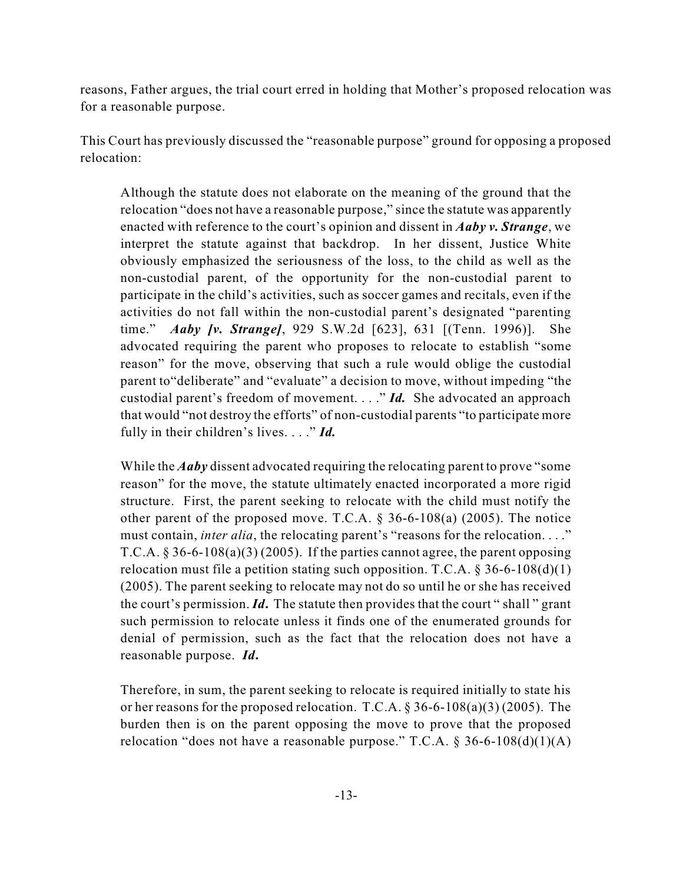reasons, Father argues, the trial court erred in holding that Mother's proposed relocation was for a reasonable purpose.

This Court has previously discussed the "reasonable purpose" ground for opposing a proposed relocation:

Although the statute does not elaborate on the meaning of the ground that the relocation "does not have a reasonable purpose," since the statute was apparently enacted with reference to the court's opinion and dissent in *Aaby v. Strange*, we interpret the statute against that backdrop. In her dissent, Justice White obviously emphasized the seriousness of the loss, to the child as well as the non-custodial parent, of the opportunity for the non-custodial parent to participate in the child's activities, such as soccer games and recitals, even if the activities do not fall within the non-custodial parent's designated "parenting time." *Aaby [v. Strange]*, 929 S.W.2d [623], 631 [(Tenn. 1996)]. She advocated requiring the parent who proposes to relocate to establish "some reason" for the move, observing that such a rule would oblige the custodial parent to"deliberate" and "evaluate" a decision to move, without impeding "the custodial parent's freedom of movement. . . ." *Id.* She advocated an approach that would "not destroy the efforts" of non-custodial parents "to participate more fully in their children's lives. . . ." *Id.*

While the *Aaby* dissent advocated requiring the relocating parent to prove "some reason" for the move, the statute ultimately enacted incorporated a more rigid structure. First, the parent seeking to relocate with the child must notify the other parent of the proposed move. T.C.A. § 36-6-108(a) (2005). The notice must contain, *inter alia*, the relocating parent's "reasons for the relocation. . . ." T.C.A.  $\S 36-6-108(a)(3)(2005)$ . If the parties cannot agree, the parent opposing relocation must file a petition stating such opposition. T.C.A.  $\S 36-6-108(d)(1)$ (2005). The parent seeking to relocate may not do so until he or she has received the court's permission. *Id***.** The statute then provides that the court " shall " grant such permission to relocate unless it finds one of the enumerated grounds for denial of permission, such as the fact that the relocation does not have a reasonable purpose. *Id***.**

Therefore, in sum, the parent seeking to relocate is required initially to state his or her reasons for the proposed relocation. T.C.A. § 36-6-108(a)(3) (2005). The burden then is on the parent opposing the move to prove that the proposed relocation "does not have a reasonable purpose." T.C.A.  $\S 36-6-108(d)(1)(A)$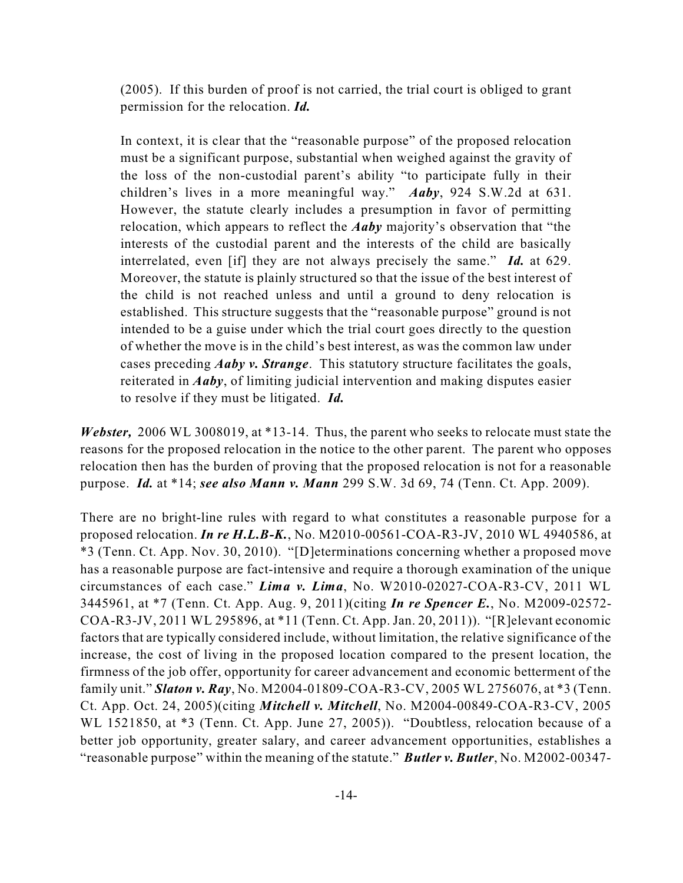(2005). If this burden of proof is not carried, the trial court is obliged to grant permission for the relocation. *Id.*

In context, it is clear that the "reasonable purpose" of the proposed relocation must be a significant purpose, substantial when weighed against the gravity of the loss of the non-custodial parent's ability "to participate fully in their children's lives in a more meaningful way." *Aaby*, 924 S.W.2d at 631. However, the statute clearly includes a presumption in favor of permitting relocation, which appears to reflect the *Aaby* majority's observation that "the interests of the custodial parent and the interests of the child are basically interrelated, even [if] they are not always precisely the same." *Id.* at 629. Moreover, the statute is plainly structured so that the issue of the best interest of the child is not reached unless and until a ground to deny relocation is established. This structure suggests that the "reasonable purpose" ground is not intended to be a guise under which the trial court goes directly to the question of whether the move is in the child's best interest, as was the common law under cases preceding *Aaby v. Strange*. This statutory structure facilitates the goals, reiterated in *Aaby*, of limiting judicial intervention and making disputes easier to resolve if they must be litigated. *Id.*

*Webster,* 2006 WL 3008019, at \*13-14. Thus, the parent who seeks to relocate must state the reasons for the proposed relocation in the notice to the other parent. The parent who opposes relocation then has the burden of proving that the proposed relocation is not for a reasonable purpose. *Id.* at \*14; *see also Mann v. Mann* 299 S.W. 3d 69, 74 (Tenn. Ct. App. 2009).

There are no bright-line rules with regard to what constitutes a reasonable purpose for a proposed relocation. *In re H.L.B-K.*, No. M2010-00561-COA-R3-JV, 2010 WL 4940586, at \*3 (Tenn. Ct. App. Nov. 30, 2010). "[D]eterminations concerning whether a proposed move has a reasonable purpose are fact-intensive and require a thorough examination of the unique circumstances of each case." *Lima v. Lima*, No. W2010-02027-COA-R3-CV, 2011 WL 3445961, at \*7 (Tenn. Ct. App. Aug. 9, 2011)(citing *In re Spencer E.*, No. M2009-02572- COA-R3-JV, 2011 WL 295896, at \*11 (Tenn. Ct. App. Jan. 20, 2011)). "[R]elevant economic factors that are typically considered include, without limitation, the relative significance of the increase, the cost of living in the proposed location compared to the present location, the firmness of the job offer, opportunity for career advancement and economic betterment of the family unit." *Slaton v. Ray*, No. M2004-01809-COA-R3-CV, 2005 WL 2756076, at \*3 (Tenn. Ct. App. Oct. 24, 2005)(citing *Mitchell v. Mitchell*, No. M2004-00849-COA-R3-CV, 2005 WL 1521850, at \*3 (Tenn. Ct. App. June 27, 2005)). "Doubtless, relocation because of a better job opportunity, greater salary, and career advancement opportunities, establishes a "reasonable purpose" within the meaning of the statute." *Butler v. Butler*, No. M2002-00347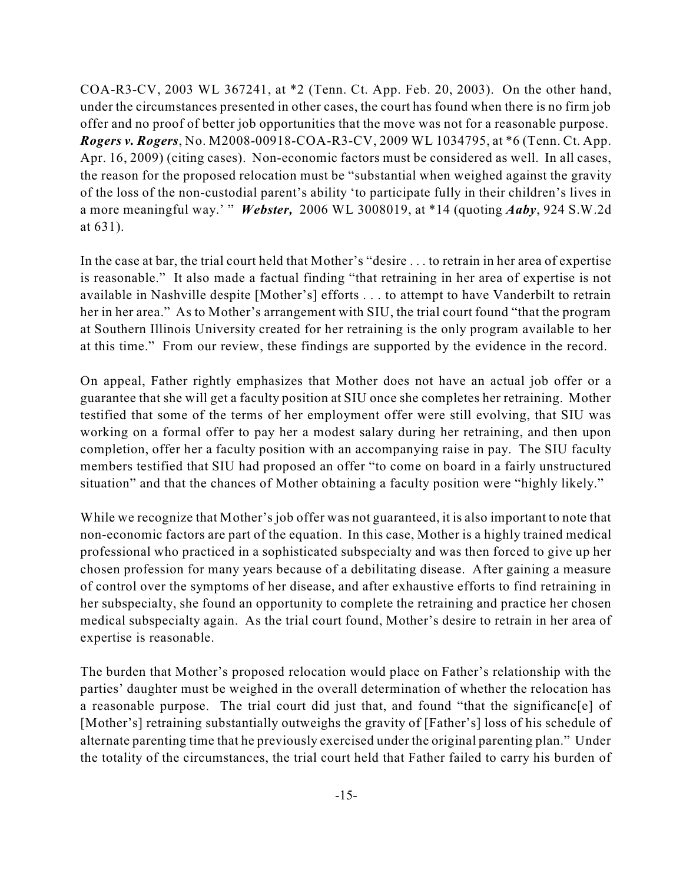COA-R3-CV, 2003 WL 367241, at \*2 (Tenn. Ct. App. Feb. 20, 2003). On the other hand, under the circumstances presented in other cases, the court has found when there is no firm job offer and no proof of better job opportunities that the move was not for a reasonable purpose. *Rogers v. Rogers*, No. M2008-00918-COA-R3-CV, 2009 WL 1034795, at \*6 (Tenn. Ct. App. Apr. 16, 2009) (citing cases). Non-economic factors must be considered as well. In all cases, the reason for the proposed relocation must be "substantial when weighed against the gravity of the loss of the non-custodial parent's ability 'to participate fully in their children's lives in a more meaningful way.' " *Webster,* 2006 WL 3008019, at \*14 (quoting *Aaby*, 924 S.W.2d at 631).

In the case at bar, the trial court held that Mother's "desire . . . to retrain in her area of expertise is reasonable." It also made a factual finding "that retraining in her area of expertise is not available in Nashville despite [Mother's] efforts . . . to attempt to have Vanderbilt to retrain her in her area." As to Mother's arrangement with SIU, the trial court found "that the program at Southern Illinois University created for her retraining is the only program available to her at this time." From our review, these findings are supported by the evidence in the record.

On appeal, Father rightly emphasizes that Mother does not have an actual job offer or a guarantee that she will get a faculty position at SIU once she completes her retraining. Mother testified that some of the terms of her employment offer were still evolving, that SIU was working on a formal offer to pay her a modest salary during her retraining, and then upon completion, offer her a faculty position with an accompanying raise in pay. The SIU faculty members testified that SIU had proposed an offer "to come on board in a fairly unstructured situation" and that the chances of Mother obtaining a faculty position were "highly likely."

While we recognize that Mother's job offer was not guaranteed, it is also important to note that non-economic factors are part of the equation. In this case, Mother is a highly trained medical professional who practiced in a sophisticated subspecialty and was then forced to give up her chosen profession for many years because of a debilitating disease. After gaining a measure of control over the symptoms of her disease, and after exhaustive efforts to find retraining in her subspecialty, she found an opportunity to complete the retraining and practice her chosen medical subspecialty again. As the trial court found, Mother's desire to retrain in her area of expertise is reasonable.

The burden that Mother's proposed relocation would place on Father's relationship with the parties' daughter must be weighed in the overall determination of whether the relocation has a reasonable purpose. The trial court did just that, and found "that the significanc[e] of [Mother's] retraining substantially outweighs the gravity of [Father's] loss of his schedule of alternate parenting time that he previously exercised under the original parenting plan." Under the totality of the circumstances, the trial court held that Father failed to carry his burden of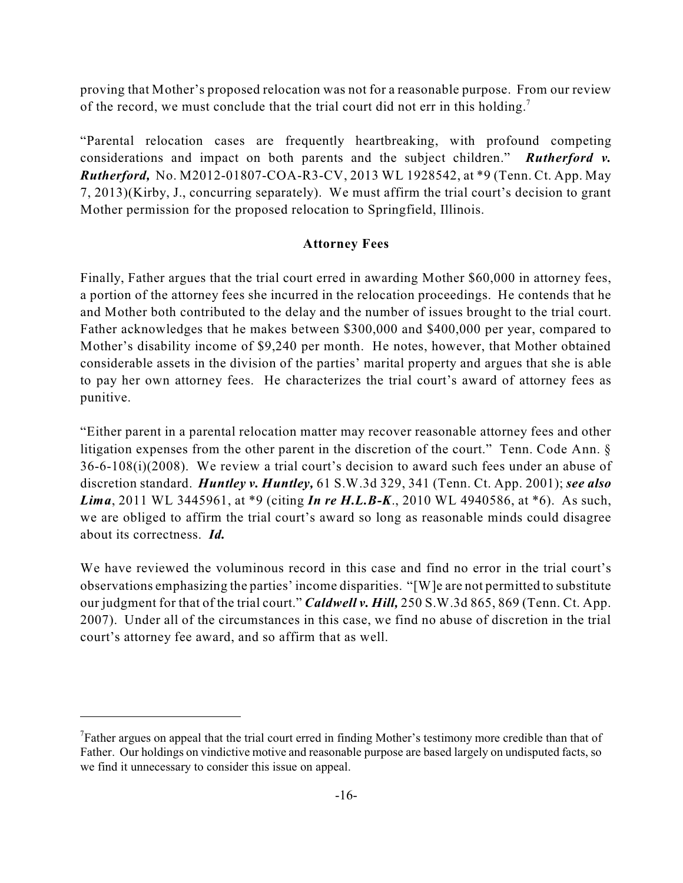proving that Mother's proposed relocation was not for a reasonable purpose. From our review of the record, we must conclude that the trial court did not err in this holding.<sup>7</sup>

"Parental relocation cases are frequently heartbreaking, with profound competing considerations and impact on both parents and the subject children." *Rutherford v. Rutherford,* No. M2012-01807-COA-R3-CV, 2013 WL 1928542, at \*9 (Tenn. Ct. App. May 7, 2013)(Kirby, J., concurring separately). We must affirm the trial court's decision to grant Mother permission for the proposed relocation to Springfield, Illinois.

### **Attorney Fees**

Finally, Father argues that the trial court erred in awarding Mother \$60,000 in attorney fees, a portion of the attorney fees she incurred in the relocation proceedings. He contends that he and Mother both contributed to the delay and the number of issues brought to the trial court. Father acknowledges that he makes between \$300,000 and \$400,000 per year, compared to Mother's disability income of \$9,240 per month. He notes, however, that Mother obtained considerable assets in the division of the parties' marital property and argues that she is able to pay her own attorney fees. He characterizes the trial court's award of attorney fees as punitive.

"Either parent in a parental relocation matter may recover reasonable attorney fees and other litigation expenses from the other parent in the discretion of the court." Tenn. Code Ann. § 36-6-108(i)(2008). We review a trial court's decision to award such fees under an abuse of discretion standard. *Huntley v. Huntley,* 61 S.W.3d 329, 341 (Tenn. Ct. App. 2001); *see also Lima*, 2011 WL 3445961, at \*9 (citing *In re H.L.B-K*., 2010 WL 4940586, at \*6). As such, we are obliged to affirm the trial court's award so long as reasonable minds could disagree about its correctness. *Id.*

We have reviewed the voluminous record in this case and find no error in the trial court's observations emphasizing the parties' income disparities. "[W]e are not permitted to substitute our judgment for that of the trial court." *Caldwell v. Hill,* 250 S.W.3d 865, 869 (Tenn. Ct. App. 2007). Under all of the circumstances in this case, we find no abuse of discretion in the trial court's attorney fee award, and so affirm that as well.

 $T$ Father argues on appeal that the trial court erred in finding Mother's testimony more credible than that of Father. Our holdings on vindictive motive and reasonable purpose are based largely on undisputed facts, so we find it unnecessary to consider this issue on appeal.